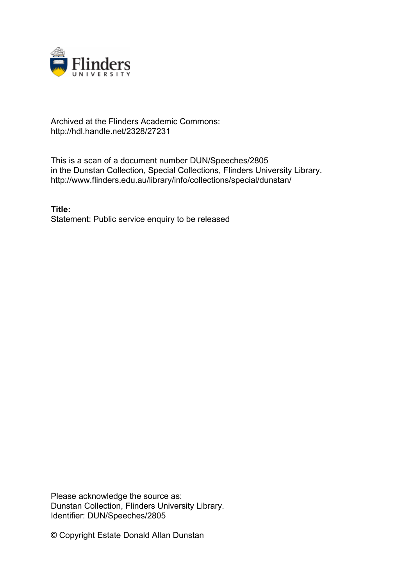

## Archived at the Flinders Academic Commons: http://hdl.handle.net/2328/27231

This is a scan of a document number DUN/Speeches/2805 in the Dunstan Collection, Special Collections, Flinders University Library. http://www.flinders.edu.au/library/info/collections/special/dunstan/

**Title:** Statement: Public service enquiry to be released

Please acknowledge the source as: Dunstan Collection, Flinders University Library. Identifier: DUN/Speeches/2805

© Copyright Estate Donald Allan Dunstan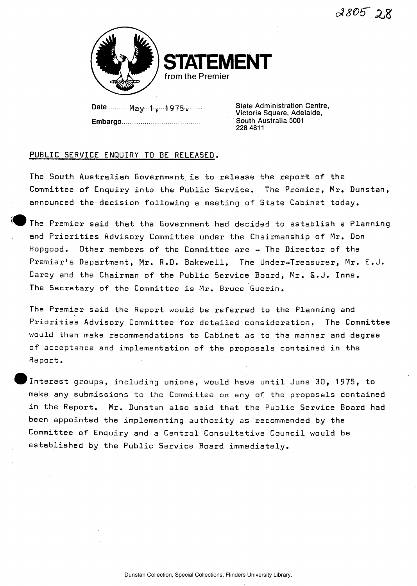

**IFNT from the Premier** 

Date May V ,- 1 975 ;. Embargo State Administration Centre, Victoria Square, Adelaide, South Australia 5001 228 4811

## PUBLIC SERVICE ENQUIRY TO BE RELEASED.

The South Australian Government is to release the report of the Committee of Enquiry into the Public Service. The Premier, Mr. Dunstan, announced the decision following a meeting of State Cabinet today.

The Premier said that the Government had decided to establish a Planning and Priorities Advisory Committee under the Chairmanship of Mr. Don Hopgood. Other members of the Committee are - The Director of the Premier's Department, Mr. R.D. Bakewell, The Under-Treasurer, Mr. E.J. Carey and the Chairman of the Public Service Board, Mr. **G**.J. Inns. The Secretary of the Committee is Mr. Bruce Guerin.

The Premier said the Report would be referred to the Planning and Priorities Advisory Committee for detailed consideration. The Committee would then make recommendations to Cabinet as to the manner and degree of acceptance and implementation of the proposals contained in the Report.

Interest groups, including unions, would have until June 30, 1975, to make any submissions to the Committee on any of the proposals contained in the Report. Mr. Dunstan also said that the Public Service Board had been appointed the implementing authority as recommended by the Committee of Enquiry and a Central Consultative Council would be established by the Public Service Board immediately.